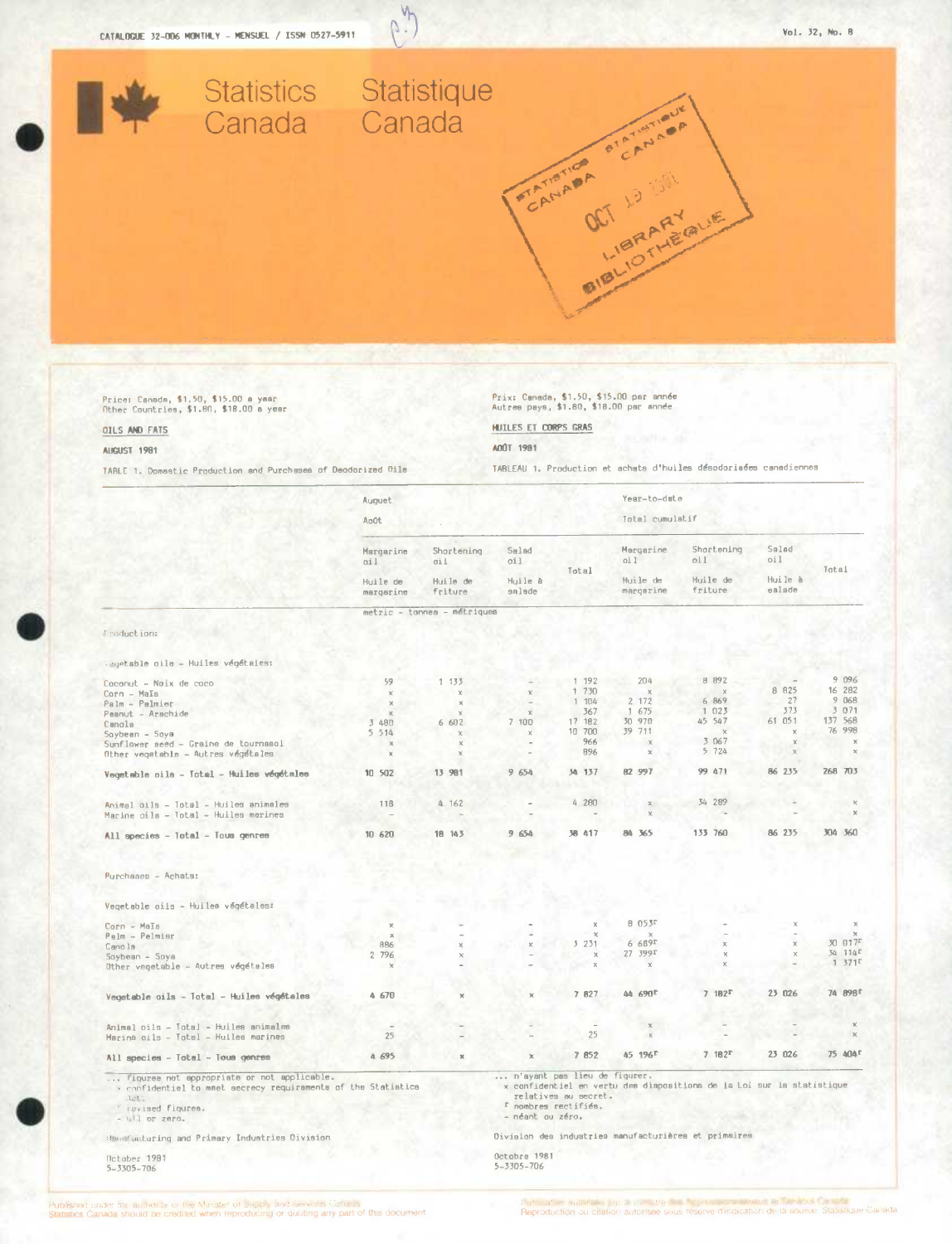

N<sup></sup> U.

Price: Canada, \$1,50, \$15.00 a year<br>Other Countries, \$1,80, \$18.00 a year

## OILS AND FATS

### **AUGUST** 1981

TARLE 1. Domestic Production and Purchases of Deodorized Oils

Prix: Canada, \$1.50, \$15.00 par année<br>Autres pays, \$1.80, \$18.00 par année

HUILES ET CORPS GRAS

## AOŪT 1981

TABLEAU 1. Production et achats d'huiles désodoriaées canadiennes

|                                                                                                                                                             | Auguet                                    |                             |                                                                          |                      | Year-to-date                              |                                                                       |                                   |                     |
|-------------------------------------------------------------------------------------------------------------------------------------------------------------|-------------------------------------------|-----------------------------|--------------------------------------------------------------------------|----------------------|-------------------------------------------|-----------------------------------------------------------------------|-----------------------------------|---------------------|
|                                                                                                                                                             | Août                                      |                             |                                                                          |                      | Total cumulatif                           |                                                                       |                                   |                     |
|                                                                                                                                                             | Margarine<br>011<br>Huile de<br>margarine | Shortening<br>011           | Salad<br>oil<br>Huile à<br>salade                                        | Total                | Margarine<br>oil<br>Huile de<br>margerine | Shortening<br>011<br>Huile de<br>friture                              | Salad<br>oil<br>Huile à<br>ealade | Total               |
|                                                                                                                                                             |                                           | Huile de<br>friture         |                                                                          |                      |                                           |                                                                       |                                   |                     |
|                                                                                                                                                             |                                           | metric - tonnea - métriques |                                                                          |                      |                                           |                                                                       |                                   |                     |
| Production:                                                                                                                                                 |                                           |                             |                                                                          |                      |                                           |                                                                       |                                   |                     |
| Vegetable oile - Huiles végétaies:                                                                                                                          |                                           |                             |                                                                          |                      |                                           |                                                                       |                                   |                     |
| Coconut - Noix de coco                                                                                                                                      | 59                                        | 1 133                       |                                                                          | 1 192                | 204                                       | 8 892                                                                 |                                   | 9 096               |
| $Carn - MaIs$                                                                                                                                               | $\mathcal{R}$                             | $\mathcal{M}$               |                                                                          | 1 730                |                                           | $\lambda$                                                             | 8 825                             | 16 282              |
| Palm - Palmier                                                                                                                                              | $\chi$                                    | $\mathbf{x}$                |                                                                          | 104<br>$\mathbf{1}$  | 2 172                                     | 6 869                                                                 | 27                                | 9 068               |
| Peanut - Arachide                                                                                                                                           |                                           |                             | $\chi$                                                                   | 367                  | 1 675                                     | 1 023                                                                 | 373                               | 3 0 7 1             |
| Canola                                                                                                                                                      | 3 480                                     | 6 602                       | 7 100                                                                    | 17 182               | 30 970                                    | 45 547                                                                | 61 051                            | 137 568             |
| Soybean - Soya                                                                                                                                              | 5 5 1 4                                   | $\pmb{\times}$              | $\mathcal{R}$                                                            | 10 700               | 39 711                                    | $\mathbf{y}$                                                          |                                   | 76 998              |
| Sunflower seed - Graine de tournasoi                                                                                                                        | $\chi$                                    |                             |                                                                          | 966                  | $\chi$                                    | 3 067                                                                 |                                   |                     |
| Other vegetabla - Autres végétales                                                                                                                          | $\boldsymbol{\chi}$                       |                             |                                                                          | 896                  |                                           | 5 724                                                                 |                                   |                     |
| Vegetable cils - Total - Huiles végétales                                                                                                                   | 10 502                                    | 13 981                      | 9 654                                                                    | 34 137               | 82 997                                    | 99 471                                                                | 86 235                            | 268 703             |
| Animal gils - Total - Huiles animales                                                                                                                       | 116                                       | 4 162                       |                                                                          | 4 280                | $\times$                                  | 34 289                                                                |                                   |                     |
| Marine cils – Total – Huiles merines                                                                                                                        |                                           |                             |                                                                          |                      |                                           |                                                                       |                                   |                     |
| All species - Total - Tous genres                                                                                                                           | 10 620                                    | 18 143                      | 9 654                                                                    | 38 417               | 84 365                                    | 133 760                                                               | 86 235                            | 304 360             |
| Purchases - Achats:                                                                                                                                         |                                           |                             |                                                                          |                      |                                           |                                                                       |                                   |                     |
| Vegetable oils - Huilea végétales:                                                                                                                          |                                           |                             |                                                                          |                      |                                           |                                                                       |                                   |                     |
|                                                                                                                                                             |                                           |                             |                                                                          |                      | 8 053F                                    |                                                                       |                                   |                     |
| Corn - Mals                                                                                                                                                 | $\chi$<br>$\mathcal{H}$                   |                             |                                                                          |                      |                                           |                                                                       |                                   |                     |
| Palm - Palmisr                                                                                                                                              | 886                                       |                             |                                                                          | 3231                 | 6 689 <sup>r</sup>                        |                                                                       |                                   | 30 017 <sup>E</sup> |
| Canola<br>Soybean - Soya                                                                                                                                    | 2 796                                     |                             |                                                                          | $\times$             | 27 399r                                   |                                                                       |                                   | 34 114F             |
| Other vegetable - Autres végétales                                                                                                                          | $\mathbf{\times}$                         |                             |                                                                          | $\times$             | x                                         |                                                                       |                                   | 1371                |
| Vegetable cils - Total - Huiles végétales                                                                                                                   | 4 670                                     |                             |                                                                          | 7 827                | 44 690 <sup>F</sup>                       | 7.182 <sup>T</sup>                                                    | 23 026                            | 74 898 <sup>f</sup> |
|                                                                                                                                                             |                                           |                             |                                                                          |                      |                                           |                                                                       |                                   |                     |
| Animal oils - Total - Huiles animales                                                                                                                       |                                           |                             |                                                                          |                      |                                           |                                                                       |                                   |                     |
| Marina oils - Total - Huiles marines                                                                                                                        | 25                                        |                             |                                                                          | 25                   |                                           |                                                                       |                                   |                     |
| All species - Total - Tous genres                                                                                                                           | 4 695                                     | $\mathbf{x}$                | x                                                                        | 7 852                | 45 196 <sup>r</sup>                       | 7.182 <sup>T</sup>                                                    | 23 026                            | 75 404 <sup>f</sup> |
| figuree not appropriate or not applicable.<br>y confidential to maet aecrecy requiraments of the Statistica<br>Act.<br>" revised figures.<br>- Wil or zero. |                                           |                             | n'ayant pas lieu de figurer.<br>I nombres rectifiés.<br>- néant ou zéro. | relatives au secret. |                                           | x confidentiel en vertu des diapositions de la Loi sur ia statistique |                                   |                     |
| Manufacturing and Primary Industries Oivision                                                                                                               |                                           |                             | Oiviaion des industries manufacturières et primaires                     |                      |                                           |                                                                       |                                   |                     |
| October 1981<br>$5 - 3305 - 706$                                                                                                                            |                                           |                             | Octobre 1981<br>5-3305-706                                               |                      |                                           |                                                                       |                                   |                     |

Portacalo maniferado per la puncifica de legal polo a este principal de la source. Statistic<br>Reproduction ou citation autorisée sous réserve d'indication de la source. Statistic